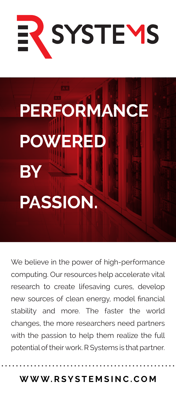

## **PERFORMANCE POWERED BY PASSION.**

We believe in the power of high-performance computing. Our resources help accelerate vital research to create lifesaving cures, develop new sources of clean energy, model financial stability and more. The faster the world changes, the more researchers need partners with the passion to help them realize the full potential of their work. R Systems is that partner.

**WWW.RSYSTEMSINC.COM**